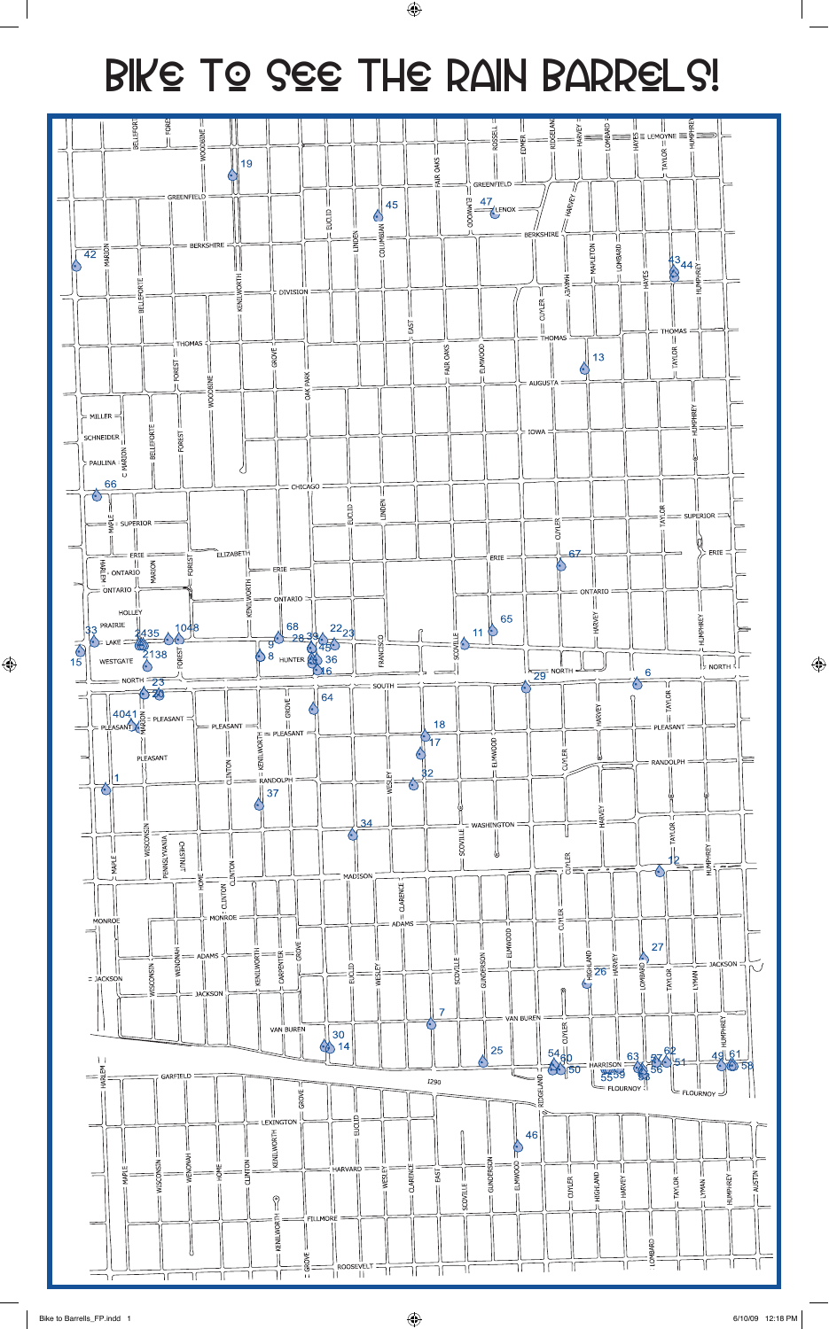## Bike to see the Rain Barrels!

 $\bigoplus$ 



 $\bigoplus$ 

 $\bigoplus$